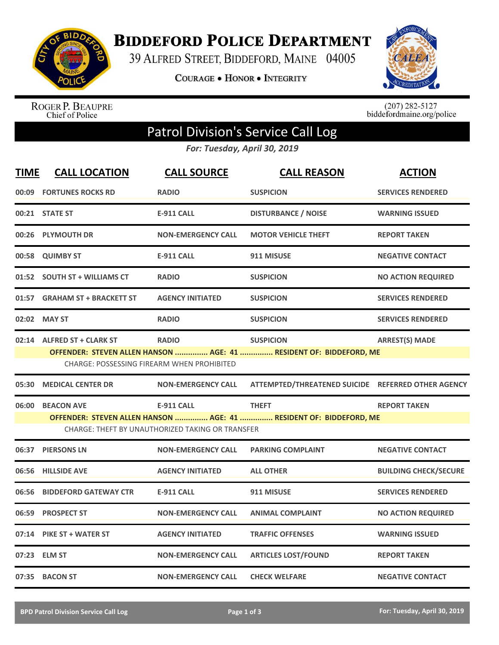

**BIDDEFORD POLICE DEPARTMENT** 

39 ALFRED STREET, BIDDEFORD, MAINE 04005

**COURAGE . HONOR . INTEGRITY** 



ROGER P. BEAUPRE<br>Chief of Police

 $(207)$  282-5127<br>biddefordmaine.org/police

## Patrol Division's Service Call Log

*For: Tuesday, April 30, 2019*

| <b>TIME</b> | <b>CALL LOCATION</b>                                                                                                                                                                                               | <b>CALL SOURCE</b>        | <b>CALL REASON</b>                                 | <b>ACTION</b>                |  |
|-------------|--------------------------------------------------------------------------------------------------------------------------------------------------------------------------------------------------------------------|---------------------------|----------------------------------------------------|------------------------------|--|
| 00:09       | <b>FORTUNES ROCKS RD</b>                                                                                                                                                                                           | <b>RADIO</b>              | <b>SUSPICION</b>                                   | <b>SERVICES RENDERED</b>     |  |
|             | 00:21 STATE ST                                                                                                                                                                                                     | <b>E-911 CALL</b>         | <b>DISTURBANCE / NOISE</b>                         | <b>WARNING ISSUED</b>        |  |
| 00:26       | <b>PLYMOUTH DR</b>                                                                                                                                                                                                 | <b>NON-EMERGENCY CALL</b> | <b>MOTOR VEHICLE THEFT</b>                         | <b>REPORT TAKEN</b>          |  |
|             | 00:58 QUIMBY ST                                                                                                                                                                                                    | <b>E-911 CALL</b>         | 911 MISUSE                                         | <b>NEGATIVE CONTACT</b>      |  |
|             | 01:52 SOUTH ST + WILLIAMS CT                                                                                                                                                                                       | <b>RADIO</b>              | <b>SUSPICION</b>                                   | <b>NO ACTION REQUIRED</b>    |  |
| 01:57       | <b>GRAHAM ST + BRACKETT ST</b>                                                                                                                                                                                     | <b>AGENCY INITIATED</b>   | <b>SUSPICION</b>                                   | <b>SERVICES RENDERED</b>     |  |
|             | 02:02 MAY ST                                                                                                                                                                                                       | <b>RADIO</b>              | <b>SUSPICION</b>                                   | <b>SERVICES RENDERED</b>     |  |
|             | <b>RADIO</b><br><b>ARREST(S) MADE</b><br>02:14 ALFRED ST + CLARK ST<br><b>SUSPICION</b><br>OFFENDER: STEVEN ALLEN HANSON  AGE: 41  RESIDENT OF: BIDDEFORD, ME<br><b>CHARGE: POSSESSING FIREARM WHEN PROHIBITED</b> |                           |                                                    |                              |  |
| 05:30       | <b>MEDICAL CENTER DR</b>                                                                                                                                                                                           | <b>NON-EMERGENCY CALL</b> | ATTEMPTED/THREATENED SUICIDE REFERRED OTHER AGENCY |                              |  |
| 06:00       | <b>BEACON AVE</b><br><b>E-911 CALL</b><br><b>THEFT</b><br><b>REPORT TAKEN</b><br>OFFENDER: STEVEN ALLEN HANSON  AGE: 41  RESIDENT OF: BIDDEFORD, ME<br><b>CHARGE: THEFT BY UNAUTHORIZED TAKING OR TRANSFER</b>     |                           |                                                    |                              |  |
| 06:37       | <b>PIERSONS LN</b>                                                                                                                                                                                                 | <b>NON-EMERGENCY CALL</b> | <b>PARKING COMPLAINT</b>                           | <b>NEGATIVE CONTACT</b>      |  |
| 06:56       | <b>HILLSIDE AVE</b>                                                                                                                                                                                                | <b>AGENCY INITIATED</b>   | <b>ALL OTHER</b>                                   | <b>BUILDING CHECK/SECURE</b> |  |
| 06:56       | <b>BIDDEFORD GATEWAY CTR</b>                                                                                                                                                                                       | <b>E-911 CALL</b>         | 911 MISUSE                                         | <b>SERVICES RENDERED</b>     |  |
| 06:59       | <b>PROSPECT ST</b>                                                                                                                                                                                                 | <b>NON-EMERGENCY CALL</b> | <b>ANIMAL COMPLAINT</b>                            | <b>NO ACTION REQUIRED</b>    |  |
| 07:14       | <b>PIKE ST + WATER ST</b>                                                                                                                                                                                          | <b>AGENCY INITIATED</b>   | <b>TRAFFIC OFFENSES</b>                            | <b>WARNING ISSUED</b>        |  |
|             | 07:23 ELM ST                                                                                                                                                                                                       | <b>NON-EMERGENCY CALL</b> | <b>ARTICLES LOST/FOUND</b>                         | <b>REPORT TAKEN</b>          |  |
|             | 07:35 BACON ST                                                                                                                                                                                                     | <b>NON-EMERGENCY CALL</b> | <b>CHECK WELFARE</b>                               | <b>NEGATIVE CONTACT</b>      |  |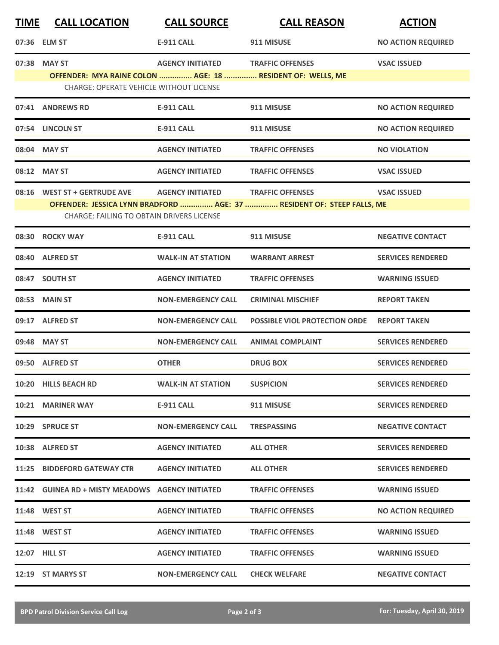| <b>TIME</b> | <b>CALL LOCATION</b>                                                                                                                                                                                                                   | <b>CALL SOURCE</b>        | <b>CALL REASON</b>                   | <b>ACTION</b>             |  |  |
|-------------|----------------------------------------------------------------------------------------------------------------------------------------------------------------------------------------------------------------------------------------|---------------------------|--------------------------------------|---------------------------|--|--|
|             | 07:36 ELM ST                                                                                                                                                                                                                           | <b>E-911 CALL</b>         | 911 MISUSE                           | <b>NO ACTION REQUIRED</b> |  |  |
|             | 07:38 MAY ST<br>OFFENDER: MYA RAINE COLON  AGE: 18  RESIDENT OF: WELLS, ME<br><b>CHARGE: OPERATE VEHICLE WITHOUT LICENSE</b>                                                                                                           | <b>AGENCY INITIATED</b>   | <b>TRAFFIC OFFENSES</b>              | <b>VSAC ISSUED</b>        |  |  |
|             | 07:41 ANDREWS RD                                                                                                                                                                                                                       | <b>E-911 CALL</b>         | 911 MISUSE                           | <b>NO ACTION REQUIRED</b> |  |  |
|             | 07:54 LINCOLN ST                                                                                                                                                                                                                       | <b>E-911 CALL</b>         | 911 MISUSE                           | <b>NO ACTION REQUIRED</b> |  |  |
|             | 08:04 MAY ST                                                                                                                                                                                                                           | <b>AGENCY INITIATED</b>   | <b>TRAFFIC OFFENSES</b>              | <b>NO VIOLATION</b>       |  |  |
|             | 08:12 MAY ST                                                                                                                                                                                                                           | <b>AGENCY INITIATED</b>   | <b>TRAFFIC OFFENSES</b>              | <b>VSAC ISSUED</b>        |  |  |
|             | 08:16 WEST ST + GERTRUDE AVE<br><b>AGENCY INITIATED</b><br><b>TRAFFIC OFFENSES</b><br><b>VSAC ISSUED</b><br>OFFENDER: JESSICA LYNN BRADFORD  AGE: 37  RESIDENT OF: STEEP FALLS, ME<br><b>CHARGE: FAILING TO OBTAIN DRIVERS LICENSE</b> |                           |                                      |                           |  |  |
|             | 08:30 ROCKY WAY                                                                                                                                                                                                                        | <b>E-911 CALL</b>         | 911 MISUSE                           | <b>NEGATIVE CONTACT</b>   |  |  |
|             | 08:40 ALFRED ST                                                                                                                                                                                                                        | <b>WALK-IN AT STATION</b> | <b>WARRANT ARREST</b>                | <b>SERVICES RENDERED</b>  |  |  |
|             | 08:47 SOUTH ST                                                                                                                                                                                                                         | <b>AGENCY INITIATED</b>   | <b>TRAFFIC OFFENSES</b>              | <b>WARNING ISSUED</b>     |  |  |
|             | 08:53 MAIN ST                                                                                                                                                                                                                          | <b>NON-EMERGENCY CALL</b> | <b>CRIMINAL MISCHIEF</b>             | <b>REPORT TAKEN</b>       |  |  |
|             | 09:17 ALFRED ST                                                                                                                                                                                                                        | <b>NON-EMERGENCY CALL</b> | <b>POSSIBLE VIOL PROTECTION ORDE</b> | <b>REPORT TAKEN</b>       |  |  |
|             | 09:48 MAY ST                                                                                                                                                                                                                           | <b>NON-EMERGENCY CALL</b> | <b>ANIMAL COMPLAINT</b>              | <b>SERVICES RENDERED</b>  |  |  |
|             | 09:50 ALFRED ST                                                                                                                                                                                                                        | <b>OTHER</b>              | <b>DRUG BOX</b>                      | <b>SERVICES RENDERED</b>  |  |  |
|             | 10:20 HILLS BEACH RD                                                                                                                                                                                                                   | <b>WALK-IN AT STATION</b> | <b>SUSPICION</b>                     | <b>SERVICES RENDERED</b>  |  |  |
|             | 10:21 MARINER WAY                                                                                                                                                                                                                      | <b>E-911 CALL</b>         | 911 MISUSE                           | <b>SERVICES RENDERED</b>  |  |  |
|             | 10:29 SPRUCE ST                                                                                                                                                                                                                        | <b>NON-EMERGENCY CALL</b> | <b>TRESPASSING</b>                   | <b>NEGATIVE CONTACT</b>   |  |  |
|             | 10:38 ALFRED ST                                                                                                                                                                                                                        | <b>AGENCY INITIATED</b>   | <b>ALL OTHER</b>                     | <b>SERVICES RENDERED</b>  |  |  |
|             | 11:25 BIDDEFORD GATEWAY CTR                                                                                                                                                                                                            | <b>AGENCY INITIATED</b>   | <b>ALL OTHER</b>                     | <b>SERVICES RENDERED</b>  |  |  |
|             | 11:42 GUINEA RD + MISTY MEADOWS AGENCY INITIATED                                                                                                                                                                                       |                           | <b>TRAFFIC OFFENSES</b>              | <b>WARNING ISSUED</b>     |  |  |
|             | 11:48 WEST ST                                                                                                                                                                                                                          | <b>AGENCY INITIATED</b>   | <b>TRAFFIC OFFENSES</b>              | <b>NO ACTION REQUIRED</b> |  |  |
|             | 11:48 WEST ST                                                                                                                                                                                                                          | <b>AGENCY INITIATED</b>   | <b>TRAFFIC OFFENSES</b>              | <b>WARNING ISSUED</b>     |  |  |
|             | <b>12:07 HILL ST</b>                                                                                                                                                                                                                   | <b>AGENCY INITIATED</b>   | <b>TRAFFIC OFFENSES</b>              | <b>WARNING ISSUED</b>     |  |  |
|             | 12:19 ST MARYS ST                                                                                                                                                                                                                      | <b>NON-EMERGENCY CALL</b> | <b>CHECK WELFARE</b>                 | <b>NEGATIVE CONTACT</b>   |  |  |